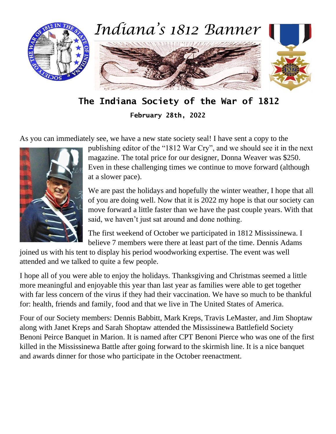

**The Indiana Society of the War of 1812**

**February 28th, 2022**

As you can immediately see, we have a new state society seal! I have sent a copy to the



publishing editor of the "1812 War Cry", and we should see it in the next magazine. The total price for our designer, Donna Weaver was \$250. Even in these challenging times we continue to move forward (although at a slower pace).

We are past the holidays and hopefully the winter weather, I hope that all of you are doing well. Now that it is 2022 my hope is that our society can move forward a little faster than we have the past couple years. With that said, we haven't just sat around and done nothing.

The first weekend of October we participated in 1812 Mississinewa. I believe 7 members were there at least part of the time. Dennis Adams

joined us with his tent to display his period woodworking expertise. The event was well attended and we talked to quite a few people.

I hope all of you were able to enjoy the holidays. Thanksgiving and Christmas seemed a little more meaningful and enjoyable this year than last year as families were able to get together with far less concern of the virus if they had their vaccination. We have so much to be thankful for: health, friends and family, food and that we live in The United States of America.

Four of our Society members: Dennis Babbitt, Mark Kreps, Travis LeMaster, and Jim Shoptaw along with Janet Kreps and Sarah Shoptaw attended the Mississinewa Battlefield Society Benoni Peirce Banquet in Marion. It is named after CPT Benoni Pierce who was one of the first killed in the Mississinewa Battle after going forward to the skirmish line. It is a nice banquet and awards dinner for those who participate in the October reenactment.